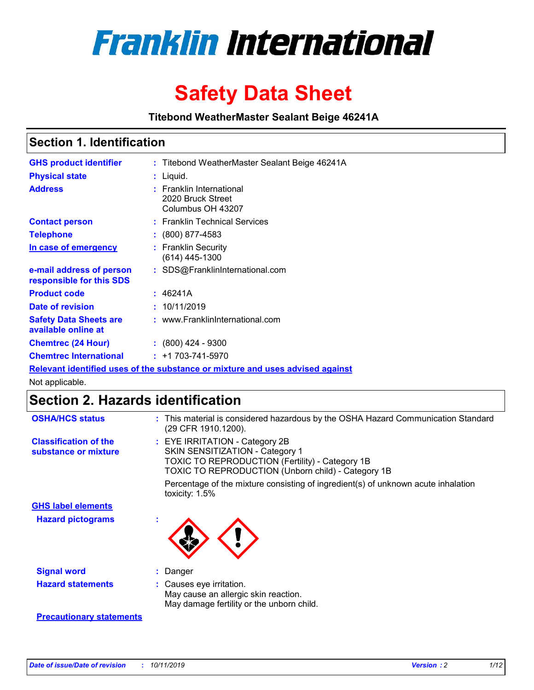

# **Safety Data Sheet**

**Titebond WeatherMaster Sealant Beige 46241A**

### **Section 1. Identification**

| <b>GHS product identifier</b>                        | : Titebond WeatherMaster Sealant Beige 46241A                                 |
|------------------------------------------------------|-------------------------------------------------------------------------------|
| <b>Physical state</b>                                | : Liquid.                                                                     |
| <b>Address</b>                                       | <b>Franklin International</b><br>2020 Bruck Street<br>Columbus OH 43207       |
| <b>Contact person</b>                                | : Franklin Technical Services                                                 |
| <b>Telephone</b>                                     | : (800) 877-4583                                                              |
| In case of emergency                                 | : Franklin Security<br>$(614)$ 445-1300                                       |
| e-mail address of person<br>responsible for this SDS | : SDS@FranklinInternational.com                                               |
| <b>Product code</b>                                  | : 46241A                                                                      |
| Date of revision                                     | : 10/11/2019                                                                  |
| <b>Safety Data Sheets are</b><br>available online at | : www.FranklinInternational.com                                               |
| <b>Chemtrec (24 Hour)</b>                            | $\div$ (800) 424 - 9300                                                       |
| <b>Chemtrec International</b>                        | $: +1703 - 741 - 5970$                                                        |
|                                                      | Relevant identified uses of the substance or mixture and uses advised against |

Not applicable.

## **Section 2. Hazards identification**

| <b>OSHA/HCS status</b>                               | : This material is considered hazardous by the OSHA Hazard Communication Standard<br>(29 CFR 1910.1200).                                                                                 |
|------------------------------------------------------|------------------------------------------------------------------------------------------------------------------------------------------------------------------------------------------|
| <b>Classification of the</b><br>substance or mixture | : EYE IRRITATION - Category 2B<br>SKIN SENSITIZATION - Category 1<br><b>TOXIC TO REPRODUCTION (Fertility) - Category 1B</b><br><b>TOXIC TO REPRODUCTION (Unborn child) - Category 1B</b> |
|                                                      | Percentage of the mixture consisting of ingredient(s) of unknown acute inhalation<br>toxicity: $1.5\%$                                                                                   |
| <b>GHS label elements</b>                            |                                                                                                                                                                                          |
| <b>Hazard pictograms</b>                             |                                                                                                                                                                                          |
| <b>Signal word</b>                                   | : Danger                                                                                                                                                                                 |
| <b>Hazard statements</b>                             | : Causes eye irritation.<br>May cause an allergic skin reaction.<br>May damage fertility or the unborn child.                                                                            |
| <b>Precautionary statements</b>                      |                                                                                                                                                                                          |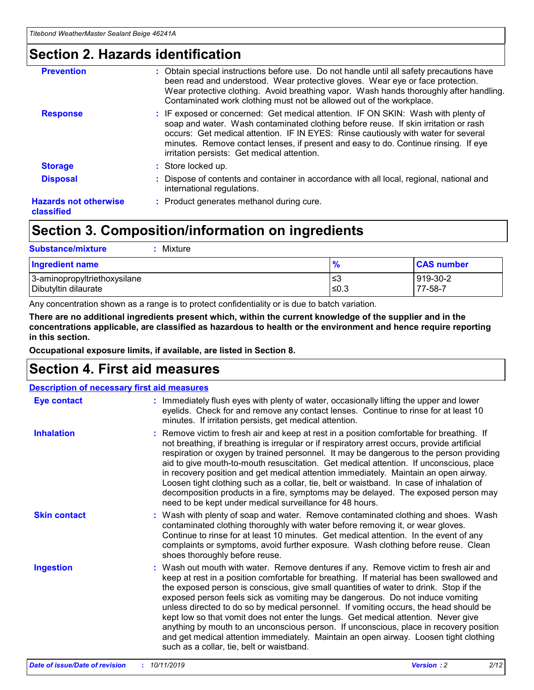### **Section 2. Hazards identification**

| <b>Prevention</b>                          | : Obtain special instructions before use. Do not handle until all safety precautions have<br>been read and understood. Wear protective gloves. Wear eye or face protection.<br>Wear protective clothing. Avoid breathing vapor. Wash hands thoroughly after handling.<br>Contaminated work clothing must not be allowed out of the workplace.                                                        |
|--------------------------------------------|------------------------------------------------------------------------------------------------------------------------------------------------------------------------------------------------------------------------------------------------------------------------------------------------------------------------------------------------------------------------------------------------------|
| <b>Response</b>                            | : IF exposed or concerned: Get medical attention. IF ON SKIN: Wash with plenty of<br>soap and water. Wash contaminated clothing before reuse. If skin irritation or rash<br>occurs: Get medical attention. IF IN EYES: Rinse cautiously with water for several<br>minutes. Remove contact lenses, if present and easy to do. Continue rinsing. If eye<br>irritation persists: Get medical attention. |
| <b>Storage</b>                             | : Store locked up.                                                                                                                                                                                                                                                                                                                                                                                   |
| <b>Disposal</b>                            | : Dispose of contents and container in accordance with all local, regional, national and<br>international regulations.                                                                                                                                                                                                                                                                               |
| <b>Hazards not otherwise</b><br>classified | : Product generates methanol during cure.                                                                                                                                                                                                                                                                                                                                                            |
|                                            |                                                                                                                                                                                                                                                                                                                                                                                                      |

## **Section 3. Composition/information on ingredients**

| <b>Substance/mixture</b><br>Mixture                  |                   |                     |
|------------------------------------------------------|-------------------|---------------------|
| <b>Ingredient name</b>                               | $\frac{9}{6}$     | <b>CAS number</b>   |
| 3-aminopropyltriethoxysilane<br>Dibutyltin dilaurate | l≤3<br>$\leq 0.3$ | 919-30-2<br>77-58-7 |

Any concentration shown as a range is to protect confidentiality or is due to batch variation.

**There are no additional ingredients present which, within the current knowledge of the supplier and in the concentrations applicable, are classified as hazardous to health or the environment and hence require reporting in this section.**

**Occupational exposure limits, if available, are listed in Section 8.**

## **Section 4. First aid measures**

| <b>Description of necessary first aid measures</b> |                                                                                                                                                                                                                                                                                                                                                                                                                                                                                                                                                                                                                                                                                                                                                                           |  |  |  |
|----------------------------------------------------|---------------------------------------------------------------------------------------------------------------------------------------------------------------------------------------------------------------------------------------------------------------------------------------------------------------------------------------------------------------------------------------------------------------------------------------------------------------------------------------------------------------------------------------------------------------------------------------------------------------------------------------------------------------------------------------------------------------------------------------------------------------------------|--|--|--|
| <b>Eye contact</b>                                 | : Immediately flush eyes with plenty of water, occasionally lifting the upper and lower<br>eyelids. Check for and remove any contact lenses. Continue to rinse for at least 10<br>minutes. If irritation persists, get medical attention.                                                                                                                                                                                                                                                                                                                                                                                                                                                                                                                                 |  |  |  |
| <b>Inhalation</b>                                  | : Remove victim to fresh air and keep at rest in a position comfortable for breathing. If<br>not breathing, if breathing is irregular or if respiratory arrest occurs, provide artificial<br>respiration or oxygen by trained personnel. It may be dangerous to the person providing<br>aid to give mouth-to-mouth resuscitation. Get medical attention. If unconscious, place<br>in recovery position and get medical attention immediately. Maintain an open airway.<br>Loosen tight clothing such as a collar, tie, belt or waistband. In case of inhalation of<br>decomposition products in a fire, symptoms may be delayed. The exposed person may<br>need to be kept under medical surveillance for 48 hours.                                                       |  |  |  |
| <b>Skin contact</b>                                | : Wash with plenty of soap and water. Remove contaminated clothing and shoes. Wash<br>contaminated clothing thoroughly with water before removing it, or wear gloves.<br>Continue to rinse for at least 10 minutes. Get medical attention. In the event of any<br>complaints or symptoms, avoid further exposure. Wash clothing before reuse. Clean<br>shoes thoroughly before reuse.                                                                                                                                                                                                                                                                                                                                                                                     |  |  |  |
| <b>Ingestion</b>                                   | : Wash out mouth with water. Remove dentures if any. Remove victim to fresh air and<br>keep at rest in a position comfortable for breathing. If material has been swallowed and<br>the exposed person is conscious, give small quantities of water to drink. Stop if the<br>exposed person feels sick as vomiting may be dangerous. Do not induce vomiting<br>unless directed to do so by medical personnel. If vomiting occurs, the head should be<br>kept low so that vomit does not enter the lungs. Get medical attention. Never give<br>anything by mouth to an unconscious person. If unconscious, place in recovery position<br>and get medical attention immediately. Maintain an open airway. Loosen tight clothing<br>such as a collar, tie, belt or waistband. |  |  |  |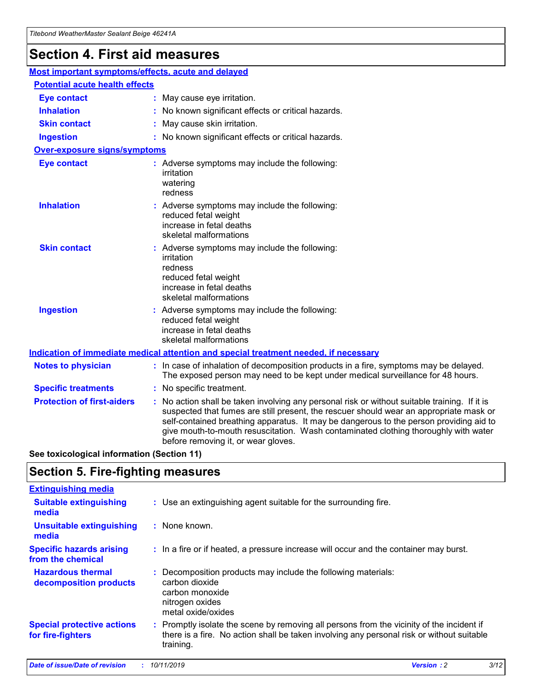## **Section 4. First aid measures**

| Most important symptoms/effects, acute and delayed |                                       |                                                                                                                                                                                                                                                                                                                                                                                                                 |  |  |  |
|----------------------------------------------------|---------------------------------------|-----------------------------------------------------------------------------------------------------------------------------------------------------------------------------------------------------------------------------------------------------------------------------------------------------------------------------------------------------------------------------------------------------------------|--|--|--|
|                                                    | <b>Potential acute health effects</b> |                                                                                                                                                                                                                                                                                                                                                                                                                 |  |  |  |
| <b>Eye contact</b>                                 |                                       | : May cause eye irritation.                                                                                                                                                                                                                                                                                                                                                                                     |  |  |  |
| <b>Inhalation</b>                                  |                                       | : No known significant effects or critical hazards.                                                                                                                                                                                                                                                                                                                                                             |  |  |  |
| <b>Skin contact</b>                                |                                       | : May cause skin irritation.                                                                                                                                                                                                                                                                                                                                                                                    |  |  |  |
| <b>Ingestion</b>                                   |                                       | : No known significant effects or critical hazards.                                                                                                                                                                                                                                                                                                                                                             |  |  |  |
| <b>Over-exposure signs/symptoms</b>                |                                       |                                                                                                                                                                                                                                                                                                                                                                                                                 |  |  |  |
| <b>Eye contact</b>                                 |                                       | : Adverse symptoms may include the following:<br>irritation<br>watering<br>redness                                                                                                                                                                                                                                                                                                                              |  |  |  |
| <b>Inhalation</b>                                  |                                       | : Adverse symptoms may include the following:<br>reduced fetal weight<br>increase in fetal deaths<br>skeletal malformations                                                                                                                                                                                                                                                                                     |  |  |  |
| <b>Skin contact</b>                                |                                       | : Adverse symptoms may include the following:<br>irritation<br>redness<br>reduced fetal weight<br>increase in fetal deaths<br>skeletal malformations                                                                                                                                                                                                                                                            |  |  |  |
| <b>Ingestion</b>                                   |                                       | : Adverse symptoms may include the following:<br>reduced fetal weight<br>increase in fetal deaths<br>skeletal malformations                                                                                                                                                                                                                                                                                     |  |  |  |
|                                                    |                                       | <b>Indication of immediate medical attention and special treatment needed, if necessary</b>                                                                                                                                                                                                                                                                                                                     |  |  |  |
| <b>Notes to physician</b>                          |                                       | : In case of inhalation of decomposition products in a fire, symptoms may be delayed.<br>The exposed person may need to be kept under medical surveillance for 48 hours.                                                                                                                                                                                                                                        |  |  |  |
| <b>Specific treatments</b>                         |                                       | : No specific treatment.                                                                                                                                                                                                                                                                                                                                                                                        |  |  |  |
| <b>Protection of first-aiders</b>                  |                                       | : No action shall be taken involving any personal risk or without suitable training. If it is<br>suspected that fumes are still present, the rescuer should wear an appropriate mask or<br>self-contained breathing apparatus. It may be dangerous to the person providing aid to<br>give mouth-to-mouth resuscitation. Wash contaminated clothing thoroughly with water<br>before removing it, or wear gloves. |  |  |  |

**See toxicological information (Section 11)**

### **Section 5. Fire-fighting measures**

| <b>Extinguishing media</b>                             |                                                                                                                                                                                                     |
|--------------------------------------------------------|-----------------------------------------------------------------------------------------------------------------------------------------------------------------------------------------------------|
| <b>Suitable extinguishing</b><br>media                 | : Use an extinguishing agent suitable for the surrounding fire.                                                                                                                                     |
| <b>Unsuitable extinguishing</b><br>media               | : None known.                                                                                                                                                                                       |
| <b>Specific hazards arising</b><br>from the chemical   | : In a fire or if heated, a pressure increase will occur and the container may burst.                                                                                                               |
| <b>Hazardous thermal</b><br>decomposition products     | : Decomposition products may include the following materials:<br>carbon dioxide<br>carbon monoxide<br>nitrogen oxides<br>metal oxide/oxides                                                         |
| <b>Special protective actions</b><br>for fire-fighters | : Promptly isolate the scene by removing all persons from the vicinity of the incident if<br>there is a fire. No action shall be taken involving any personal risk or without suitable<br>training. |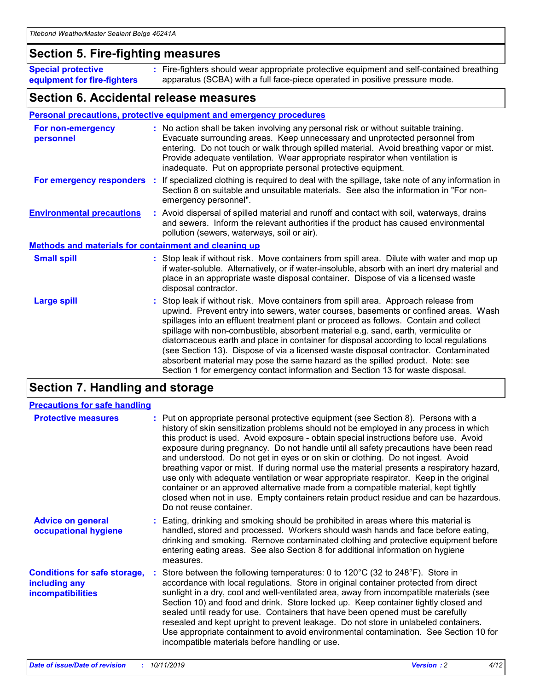### **Section 5. Fire-fighting measures**

**Special protective equipment for fire-fighters** Fire-fighters should wear appropriate protective equipment and self-contained breathing **:** apparatus (SCBA) with a full face-piece operated in positive pressure mode.

### **Section 6. Accidental release measures**

#### **Personal precautions, protective equipment and emergency procedures**

| For non-emergency<br>personnel                               | : No action shall be taken involving any personal risk or without suitable training.<br>Evacuate surrounding areas. Keep unnecessary and unprotected personnel from<br>entering. Do not touch or walk through spilled material. Avoid breathing vapor or mist.<br>Provide adequate ventilation. Wear appropriate respirator when ventilation is<br>inadequate. Put on appropriate personal protective equipment.                                                                                                                                                                                                                                                                                             |
|--------------------------------------------------------------|--------------------------------------------------------------------------------------------------------------------------------------------------------------------------------------------------------------------------------------------------------------------------------------------------------------------------------------------------------------------------------------------------------------------------------------------------------------------------------------------------------------------------------------------------------------------------------------------------------------------------------------------------------------------------------------------------------------|
|                                                              | For emergency responders : If specialized clothing is required to deal with the spillage, take note of any information in<br>Section 8 on suitable and unsuitable materials. See also the information in "For non-<br>emergency personnel".                                                                                                                                                                                                                                                                                                                                                                                                                                                                  |
| <b>Environmental precautions</b>                             | : Avoid dispersal of spilled material and runoff and contact with soil, waterways, drains<br>and sewers. Inform the relevant authorities if the product has caused environmental<br>pollution (sewers, waterways, soil or air).                                                                                                                                                                                                                                                                                                                                                                                                                                                                              |
| <b>Methods and materials for containment and cleaning up</b> |                                                                                                                                                                                                                                                                                                                                                                                                                                                                                                                                                                                                                                                                                                              |
| <b>Small spill</b>                                           | : Stop leak if without risk. Move containers from spill area. Dilute with water and mop up<br>if water-soluble. Alternatively, or if water-insoluble, absorb with an inert dry material and<br>place in an appropriate waste disposal container. Dispose of via a licensed waste<br>disposal contractor.                                                                                                                                                                                                                                                                                                                                                                                                     |
| <b>Large spill</b>                                           | : Stop leak if without risk. Move containers from spill area. Approach release from<br>upwind. Prevent entry into sewers, water courses, basements or confined areas. Wash<br>spillages into an effluent treatment plant or proceed as follows. Contain and collect<br>spillage with non-combustible, absorbent material e.g. sand, earth, vermiculite or<br>diatomaceous earth and place in container for disposal according to local regulations<br>(see Section 13). Dispose of via a licensed waste disposal contractor. Contaminated<br>absorbent material may pose the same hazard as the spilled product. Note: see<br>Section 1 for emergency contact information and Section 13 for waste disposal. |

## **Section 7. Handling and storage**

| <b>Precautions for safe handling</b>                                             |                                                                                                                                                                                                                                                                                                                                                                                                                                                                                                                                                                                                                                                                                                                                                                                                                                                  |
|----------------------------------------------------------------------------------|--------------------------------------------------------------------------------------------------------------------------------------------------------------------------------------------------------------------------------------------------------------------------------------------------------------------------------------------------------------------------------------------------------------------------------------------------------------------------------------------------------------------------------------------------------------------------------------------------------------------------------------------------------------------------------------------------------------------------------------------------------------------------------------------------------------------------------------------------|
| <b>Protective measures</b>                                                       | : Put on appropriate personal protective equipment (see Section 8). Persons with a<br>history of skin sensitization problems should not be employed in any process in which<br>this product is used. Avoid exposure - obtain special instructions before use. Avoid<br>exposure during pregnancy. Do not handle until all safety precautions have been read<br>and understood. Do not get in eyes or on skin or clothing. Do not ingest. Avoid<br>breathing vapor or mist. If during normal use the material presents a respiratory hazard,<br>use only with adequate ventilation or wear appropriate respirator. Keep in the original<br>container or an approved alternative made from a compatible material, kept tightly<br>closed when not in use. Empty containers retain product residue and can be hazardous.<br>Do not reuse container. |
| <b>Advice on general</b><br>occupational hygiene                                 | : Eating, drinking and smoking should be prohibited in areas where this material is<br>handled, stored and processed. Workers should wash hands and face before eating,<br>drinking and smoking. Remove contaminated clothing and protective equipment before<br>entering eating areas. See also Section 8 for additional information on hygiene<br>measures.                                                                                                                                                                                                                                                                                                                                                                                                                                                                                    |
| <b>Conditions for safe storage,</b><br>including any<br><b>incompatibilities</b> | : Store between the following temperatures: 0 to 120 $\degree$ C (32 to 248 $\degree$ F). Store in<br>accordance with local regulations. Store in original container protected from direct<br>sunlight in a dry, cool and well-ventilated area, away from incompatible materials (see<br>Section 10) and food and drink. Store locked up. Keep container tightly closed and<br>sealed until ready for use. Containers that have been opened must be carefully<br>resealed and kept upright to prevent leakage. Do not store in unlabeled containers.<br>Use appropriate containment to avoid environmental contamination. See Section 10 for<br>incompatible materials before handling or use.                                                                                                                                                   |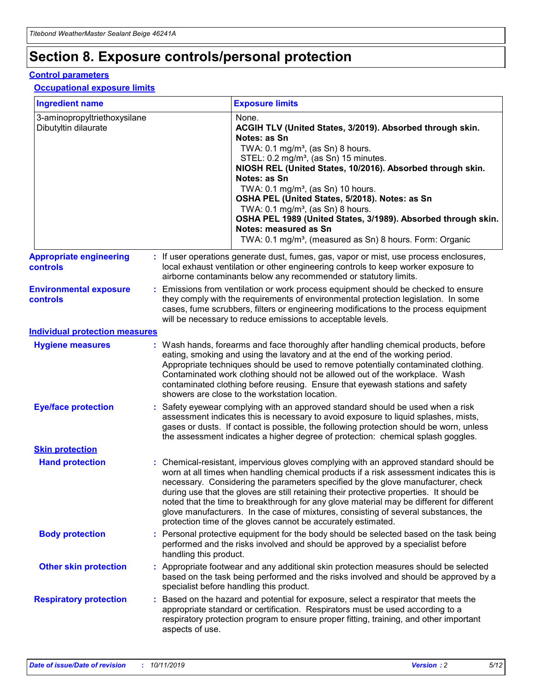## **Section 8. Exposure controls/personal protection**

#### **Control parameters**

#### **Occupational exposure limits**

| <b>Ingredient name</b>                               |    |                                          | <b>Exposure limits</b>                                                                                                                                                                                                                                                                                                                                                                                                                                                                                                                                                                                                 |
|------------------------------------------------------|----|------------------------------------------|------------------------------------------------------------------------------------------------------------------------------------------------------------------------------------------------------------------------------------------------------------------------------------------------------------------------------------------------------------------------------------------------------------------------------------------------------------------------------------------------------------------------------------------------------------------------------------------------------------------------|
| 3-aminopropyltriethoxysilane<br>Dibutyltin dilaurate |    |                                          | None.<br>ACGIH TLV (United States, 3/2019). Absorbed through skin.<br>Notes: as Sn<br>TWA: 0.1 mg/m <sup>3</sup> , (as Sn) 8 hours.<br>STEL: 0.2 mg/m <sup>3</sup> , (as Sn) 15 minutes.<br>NIOSH REL (United States, 10/2016). Absorbed through skin.<br>Notes: as Sn<br>TWA: 0.1 mg/m <sup>3</sup> , (as Sn) 10 hours.<br>OSHA PEL (United States, 5/2018). Notes: as Sn<br>TWA: $0.1 \text{ mg/m}^3$ , (as Sn) 8 hours.<br>OSHA PEL 1989 (United States, 3/1989). Absorbed through skin.<br>Notes: measured as Sn<br>TWA: 0.1 mg/m <sup>3</sup> , (measured as Sn) 8 hours. Form: Organic                           |
| <b>Appropriate engineering</b><br>controls           |    |                                          | : If user operations generate dust, fumes, gas, vapor or mist, use process enclosures,<br>local exhaust ventilation or other engineering controls to keep worker exposure to<br>airborne contaminants below any recommended or statutory limits.                                                                                                                                                                                                                                                                                                                                                                       |
| <b>Environmental exposure</b><br><b>controls</b>     |    |                                          | Emissions from ventilation or work process equipment should be checked to ensure<br>they comply with the requirements of environmental protection legislation. In some<br>cases, fume scrubbers, filters or engineering modifications to the process equipment<br>will be necessary to reduce emissions to acceptable levels.                                                                                                                                                                                                                                                                                          |
| <b>Individual protection measures</b>                |    |                                          |                                                                                                                                                                                                                                                                                                                                                                                                                                                                                                                                                                                                                        |
| <b>Hygiene measures</b>                              |    |                                          | : Wash hands, forearms and face thoroughly after handling chemical products, before<br>eating, smoking and using the lavatory and at the end of the working period.<br>Appropriate techniques should be used to remove potentially contaminated clothing.<br>Contaminated work clothing should not be allowed out of the workplace. Wash<br>contaminated clothing before reusing. Ensure that eyewash stations and safety<br>showers are close to the workstation location.                                                                                                                                            |
| <b>Eye/face protection</b>                           |    |                                          | : Safety eyewear complying with an approved standard should be used when a risk<br>assessment indicates this is necessary to avoid exposure to liquid splashes, mists,<br>gases or dusts. If contact is possible, the following protection should be worn, unless<br>the assessment indicates a higher degree of protection: chemical splash goggles.                                                                                                                                                                                                                                                                  |
| <b>Skin protection</b>                               |    |                                          |                                                                                                                                                                                                                                                                                                                                                                                                                                                                                                                                                                                                                        |
| <b>Hand protection</b>                               |    |                                          | : Chemical-resistant, impervious gloves complying with an approved standard should be<br>worn at all times when handling chemical products if a risk assessment indicates this is<br>necessary. Considering the parameters specified by the glove manufacturer, check<br>during use that the gloves are still retaining their protective properties. It should be<br>noted that the time to breakthrough for any glove material may be different for different<br>glove manufacturers. In the case of mixtures, consisting of several substances, the<br>protection time of the gloves cannot be accurately estimated. |
| <b>Body protection</b>                               |    | handling this product.                   | Personal protective equipment for the body should be selected based on the task being<br>performed and the risks involved and should be approved by a specialist before                                                                                                                                                                                                                                                                                                                                                                                                                                                |
| <b>Other skin protection</b>                         |    | specialist before handling this product. | : Appropriate footwear and any additional skin protection measures should be selected<br>based on the task being performed and the risks involved and should be approved by a                                                                                                                                                                                                                                                                                                                                                                                                                                          |
| <b>Respiratory protection</b>                        | ÷. | aspects of use.                          | Based on the hazard and potential for exposure, select a respirator that meets the<br>appropriate standard or certification. Respirators must be used according to a<br>respiratory protection program to ensure proper fitting, training, and other important                                                                                                                                                                                                                                                                                                                                                         |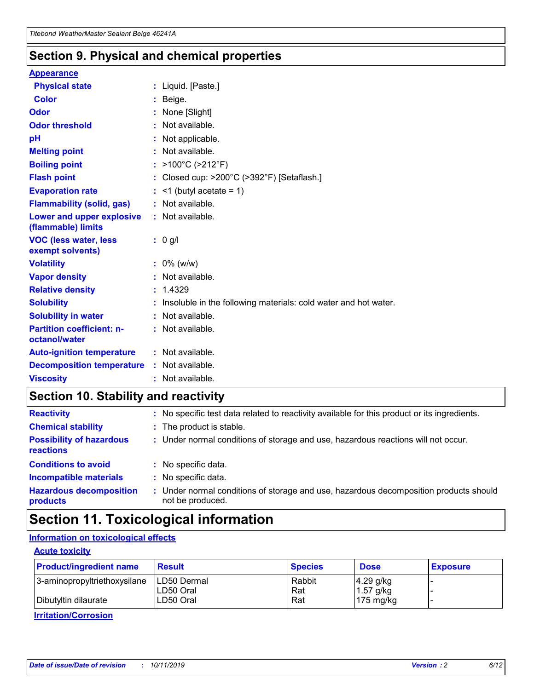### **Section 9. Physical and chemical properties**

#### **Appearance**

| <b>Physical state</b>                             | : Liquid. [Paste.]                                                |
|---------------------------------------------------|-------------------------------------------------------------------|
| <b>Color</b>                                      | Beige.                                                            |
| Odor                                              | None [Slight]                                                     |
| <b>Odor threshold</b>                             | : Not available.                                                  |
| рH                                                | : Not applicable.                                                 |
| <b>Melting point</b>                              | : Not available.                                                  |
| <b>Boiling point</b>                              | : $>100^{\circ}$ C ( $>212^{\circ}$ F)                            |
| <b>Flash point</b>                                | : Closed cup: >200°C (>392°F) [Setaflash.]                        |
| <b>Evaporation rate</b>                           | $:$ <1 (butyl acetate = 1)                                        |
| <b>Flammability (solid, gas)</b>                  | : Not available.                                                  |
| Lower and upper explosive<br>(flammable) limits   | : Not available.                                                  |
| <b>VOC (less water, less</b><br>exempt solvents)  | $: 0$ g/l                                                         |
| <b>Volatility</b>                                 | $: 0\%$ (w/w)                                                     |
| <b>Vapor density</b>                              | : Not available.                                                  |
| <b>Relative density</b>                           | : 1.4329                                                          |
| <b>Solubility</b>                                 | : Insoluble in the following materials: cold water and hot water. |
| <b>Solubility in water</b>                        | : Not available.                                                  |
| <b>Partition coefficient: n-</b><br>octanol/water | : Not available.                                                  |
| <b>Auto-ignition temperature</b>                  | : Not available.                                                  |
| <b>Decomposition temperature</b>                  | : Not available.                                                  |
| <b>Viscosity</b>                                  | : Not available.                                                  |

### **Section 10. Stability and reactivity**

| <b>Reactivity</b>                            |    | : No specific test data related to reactivity available for this product or its ingredients.            |
|----------------------------------------------|----|---------------------------------------------------------------------------------------------------------|
| <b>Chemical stability</b>                    |    | : The product is stable.                                                                                |
| <b>Possibility of hazardous</b><br>reactions |    | : Under normal conditions of storage and use, hazardous reactions will not occur.                       |
| <b>Conditions to avoid</b>                   |    | : No specific data.                                                                                     |
| <b>Incompatible materials</b>                | ٠. | No specific data.                                                                                       |
| <b>Hazardous decomposition</b><br>products   | ÷. | Under normal conditions of storage and use, hazardous decomposition products should<br>not be produced. |

## **Section 11. Toxicological information**

#### **Information on toxicological effects**

#### **Acute toxicity**

| <b>Product/ingredient name</b> | <b>Result</b>           | <b>Species</b> | <b>Dose</b>                | <b>Exposure</b> |
|--------------------------------|-------------------------|----------------|----------------------------|-----------------|
| 3-aminopropyltriethoxysilane   | <b>ILD50 Dermal</b>     | Rabbit         | 4.29 g/kg                  |                 |
| Dibutyltin dilaurate           | ILD50 Oral<br>LD50 Oral | Rat<br>Rat     | $1.57$ g/kg<br>175 $mg/kg$ |                 |
|                                |                         |                |                            |                 |

**Irritation/Corrosion**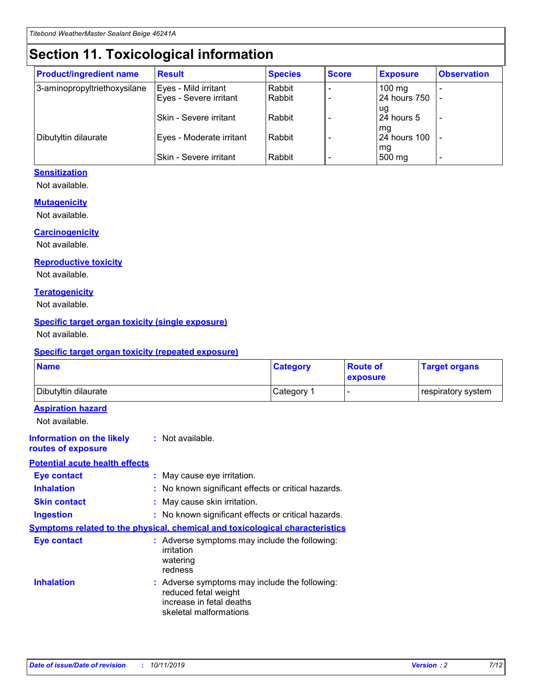## **Section 11. Toxicological information**

| <b>Product/ingredient name</b> | <b>Result</b>            | <b>Species</b> | <b>Score</b> | <b>Exposure</b>           | <b>Observation</b> |
|--------------------------------|--------------------------|----------------|--------------|---------------------------|--------------------|
| 3-aminopropyltriethoxysilane   | Eyes - Mild irritant     | Rabbit         |              | $100$ mg                  |                    |
|                                | Eyes - Severe irritant   | Rabbit         |              | 24 hours 750              |                    |
|                                |                          |                |              | ug                        |                    |
|                                | Skin - Severe irritant   | Rabbit         |              | 24 hours 5                | -                  |
| Dibutyltin dilaurate           | Eyes - Moderate irritant | Rabbit         |              | mg<br><b>24 hours 100</b> |                    |
|                                |                          |                |              | mg                        |                    |
|                                | Skin - Severe irritant   | Rabbit         |              | 500 mg                    | -                  |

#### **Sensitization**

Not available.

#### **Mutagenicity**

Not available.

#### **Carcinogenicity**

Not available.

#### **Reproductive toxicity**

Not available.

#### **Teratogenicity**

Not available.

#### **Specific target organ toxicity (single exposure)**

Not available.

#### **Specific target organ toxicity (repeated exposure)**

| <b>Name</b>                                                                  |                                                                                                                             | <b>Category</b> | <b>Route of</b><br>exposure  | <b>Target organs</b> |
|------------------------------------------------------------------------------|-----------------------------------------------------------------------------------------------------------------------------|-----------------|------------------------------|----------------------|
| Dibutyltin dilaurate                                                         |                                                                                                                             | Category 1      | $\qquad \qquad \blacksquare$ | respiratory system   |
| <b>Aspiration hazard</b><br>Not available.                                   |                                                                                                                             |                 |                              |                      |
| <b>Information on the likely</b><br>routes of exposure                       | : Not available.                                                                                                            |                 |                              |                      |
| <b>Potential acute health effects</b>                                        |                                                                                                                             |                 |                              |                      |
| <b>Eye contact</b>                                                           | : May cause eye irritation.                                                                                                 |                 |                              |                      |
| <b>Inhalation</b>                                                            | : No known significant effects or critical hazards.                                                                         |                 |                              |                      |
| <b>Skin contact</b>                                                          | : May cause skin irritation.                                                                                                |                 |                              |                      |
| <b>Ingestion</b>                                                             | : No known significant effects or critical hazards.                                                                         |                 |                              |                      |
| Symptoms related to the physical, chemical and toxicological characteristics |                                                                                                                             |                 |                              |                      |
| <b>Eye contact</b>                                                           | : Adverse symptoms may include the following:<br>irritation<br>watering<br>redness                                          |                 |                              |                      |
| <b>Inhalation</b>                                                            | : Adverse symptoms may include the following:<br>reduced fetal weight<br>increase in fetal deaths<br>skeletal malformations |                 |                              |                      |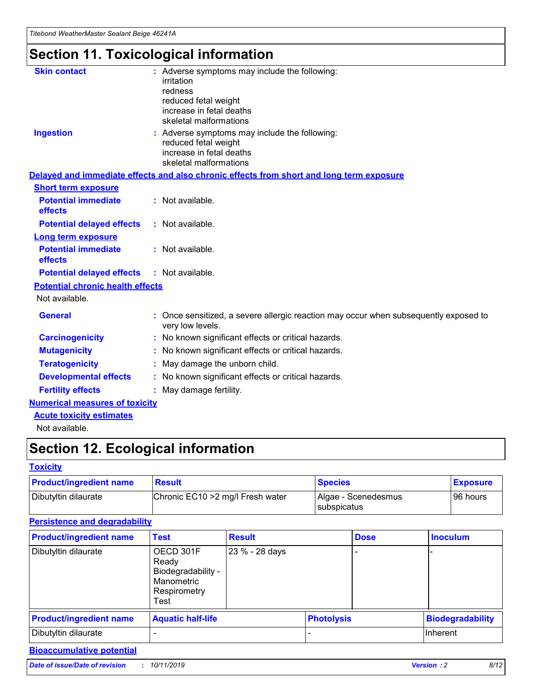## **Section 11. Toxicological information**

| <b>Skin contact</b>                     |                                                                                                          |
|-----------------------------------------|----------------------------------------------------------------------------------------------------------|
|                                         | : Adverse symptoms may include the following:<br>irritation                                              |
|                                         | redness                                                                                                  |
|                                         | reduced fetal weight                                                                                     |
|                                         | increase in fetal deaths                                                                                 |
|                                         | skeletal malformations                                                                                   |
| <b>Ingestion</b>                        | : Adverse symptoms may include the following:                                                            |
|                                         | reduced fetal weight                                                                                     |
|                                         | increase in fetal deaths                                                                                 |
|                                         | skeletal malformations                                                                                   |
|                                         | Delayed and immediate effects and also chronic effects from short and long term exposure                 |
| <b>Short term exposure</b>              |                                                                                                          |
| <b>Potential immediate</b>              | : Not available.                                                                                         |
| effects                                 |                                                                                                          |
| <b>Potential delayed effects</b>        | : Not available.                                                                                         |
| <b>Long term exposure</b>               |                                                                                                          |
| <b>Potential immediate</b>              | : Not available.                                                                                         |
| effects                                 |                                                                                                          |
| <b>Potential delayed effects</b>        | : Not available.                                                                                         |
| <b>Potential chronic health effects</b> |                                                                                                          |
| Not available.                          |                                                                                                          |
| <b>General</b>                          | : Once sensitized, a severe allergic reaction may occur when subsequently exposed to<br>very low levels. |
| <b>Carcinogenicity</b>                  | : No known significant effects or critical hazards.                                                      |
| <b>Mutagenicity</b>                     | No known significant effects or critical hazards.                                                        |
| <b>Teratogenicity</b>                   | May damage the unborn child.                                                                             |
| <b>Developmental effects</b>            | No known significant effects or critical hazards.                                                        |
| <b>Fertility effects</b>                | : May damage fertility.                                                                                  |
| <b>Numerical measures of toxicity</b>   |                                                                                                          |
| <b>Acute toxicity estimates</b>         |                                                                                                          |
|                                         |                                                                                                          |

Not available.

## **Section 12. Ecological information**

#### **Toxicity**

| <b>Product/ingredient name</b> | <b>Result</b>                     | <b>Species</b>                       | <b>Exposure</b> |
|--------------------------------|-----------------------------------|--------------------------------------|-----------------|
| Dibutyltin dilaurate           | Chronic EC10 > 2 mg/l Fresh water | Algae - Scenedesmus<br>I subspicatus | l 96 hours      |

#### **Persistence and degradability**

| <b>Product/ingredient name</b> | <b>Test</b>                                                                    | <b>Result</b>  |                   | <b>Dose</b> | <b>Inoculum</b>         |
|--------------------------------|--------------------------------------------------------------------------------|----------------|-------------------|-------------|-------------------------|
| Dibutyltin dilaurate           | OECD 301F<br>Ready<br>Biodegradability -<br>Manometric<br>Respirometry<br>Test | 23 % - 28 days |                   |             |                         |
| <b>Product/ingredient name</b> | <b>Aquatic half-life</b>                                                       |                | <b>Photolysis</b> |             | <b>Biodegradability</b> |
| Dibutyltin dilaurate           |                                                                                |                |                   |             | Inherent                |

#### **Bioaccumulative potential**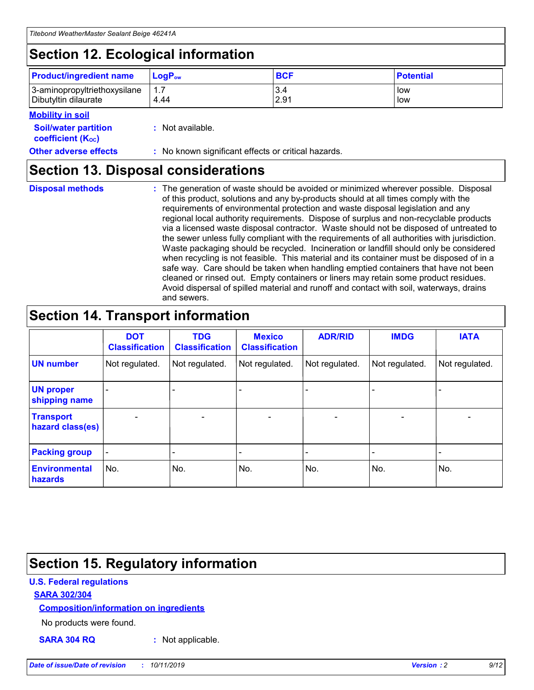## **Section 12. Ecological information**

| <b>Product/ingredient name</b> | $LoaPow$ | <b>BCF</b> | <b>Potential</b> |
|--------------------------------|----------|------------|------------------|
| 3-aminopropyltriethoxysilane   | 1.7      | 3.4        | low              |
| Dibutyltin dilaurate           | 4.44     | 2.91       | low              |

#### **Mobility in soil**

| <i></i>                                                       |                                                     |
|---------------------------------------------------------------|-----------------------------------------------------|
| <b>Soil/water partition</b><br>coefficient (K <sub>oc</sub> ) | : Not available.                                    |
| <b>Other adverse effects</b>                                  | : No known significant effects or critical hazards. |

### **Section 13. Disposal considerations**

**Disposal methods :**

The generation of waste should be avoided or minimized wherever possible. Disposal of this product, solutions and any by-products should at all times comply with the requirements of environmental protection and waste disposal legislation and any regional local authority requirements. Dispose of surplus and non-recyclable products via a licensed waste disposal contractor. Waste should not be disposed of untreated to the sewer unless fully compliant with the requirements of all authorities with jurisdiction. Waste packaging should be recycled. Incineration or landfill should only be considered when recycling is not feasible. This material and its container must be disposed of in a safe way. Care should be taken when handling emptied containers that have not been cleaned or rinsed out. Empty containers or liners may retain some product residues. Avoid dispersal of spilled material and runoff and contact with soil, waterways, drains and sewers.

## **Section 14. Transport information**

|                                      | <b>DOT</b><br><b>Classification</b> | <b>TDG</b><br><b>Classification</b> | <b>Mexico</b><br><b>Classification</b> | <b>ADR/RID</b>           | <b>IMDG</b>     | <b>IATA</b>              |
|--------------------------------------|-------------------------------------|-------------------------------------|----------------------------------------|--------------------------|-----------------|--------------------------|
| <b>UN number</b>                     | Not regulated.                      | Not regulated.                      | Not regulated.                         | Not regulated.           | Not regulated.  | Not regulated.           |
| <b>UN proper</b><br>shipping name    | $\qquad \qquad \blacksquare$        |                                     |                                        |                          |                 |                          |
| <b>Transport</b><br>hazard class(es) | $\overline{\phantom{0}}$            | $\qquad \qquad$                     | $\qquad \qquad$                        | $\overline{\phantom{a}}$ | $\qquad \qquad$ | $\overline{\phantom{0}}$ |
| <b>Packing group</b>                 | $\overline{\phantom{a}}$            | -                                   |                                        |                          |                 |                          |
| <b>Environmental</b><br>hazards      | No.                                 | No.                                 | No.                                    | No.                      | No.             | No.                      |

## **Section 15. Regulatory information**

#### **U.S. Federal regulations**

#### **SARA 302/304**

#### **Composition/information on ingredients**

No products were found.

**SARA 304 RQ :** Not applicable.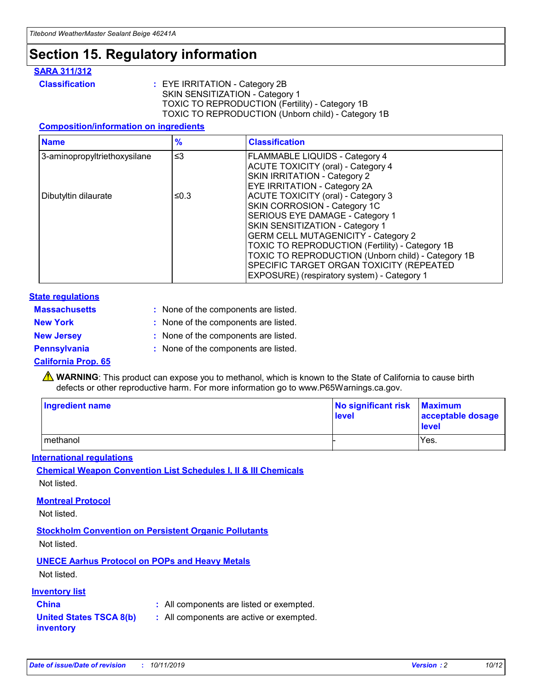## **Section 15. Regulatory information**

#### **SARA 311/312**

**Classification :** EYE IRRITATION - Category 2B SKIN SENSITIZATION - Category 1 TOXIC TO REPRODUCTION (Fertility) - Category 1B TOXIC TO REPRODUCTION (Unborn child) - Category 1B

#### **Composition/information on ingredients**

| <b>Name</b>                  | $\frac{9}{6}$ | <b>Classification</b>                                                                                            |
|------------------------------|---------------|------------------------------------------------------------------------------------------------------------------|
| 3-aminopropyltriethoxysilane | $\leq$ 3      | <b>FLAMMABLE LIQUIDS - Category 4</b><br><b>ACUTE TOXICITY (oral) - Category 4</b>                               |
|                              |               | SKIN IRRITATION - Category 2<br>EYE IRRITATION - Category 2A                                                     |
| Dibutyltin dilaurate         | ≤0.3          | ACUTE TOXICITY (oral) - Category 3<br>SKIN CORROSION - Category 1C                                               |
|                              |               | SERIOUS EYE DAMAGE - Category 1<br>SKIN SENSITIZATION - Category 1<br><b>GERM CELL MUTAGENICITY - Category 2</b> |
|                              |               | TOXIC TO REPRODUCTION (Fertility) - Category 1B<br>TOXIC TO REPRODUCTION (Unborn child) - Category 1B            |
|                              |               | SPECIFIC TARGET ORGAN TOXICITY (REPEATED<br>EXPOSURE) (respiratory system) - Category 1                          |

#### **State regulations**

| <b>Massachusetts</b> | : None of the components are listed. |
|----------------------|--------------------------------------|
| <b>New York</b>      | : None of the components are listed. |
| <b>New Jersey</b>    | : None of the components are listed. |
| Pennsylvania         | : None of the components are listed. |

#### **California Prop. 65**

**A** WARNING: This product can expose you to methanol, which is known to the State of California to cause birth defects or other reproductive harm. For more information go to www.P65Warnings.ca.gov.

| <b>Ingredient name</b> | No significant risk Maximum<br>level | acceptable dosage<br>level |
|------------------------|--------------------------------------|----------------------------|
| methanol               |                                      | Yes.                       |

#### **International regulations**

**Chemical Weapon Convention List Schedules I, II & III Chemicals** Not listed.

#### **Montreal Protocol**

Not listed.

#### **Stockholm Convention on Persistent Organic Pollutants**

Not listed.

#### **UNECE Aarhus Protocol on POPs and Heavy Metals**

Not listed.

#### **Inventory list**

### **China :** All components are listed or exempted.

**United States TSCA 8(b) inventory :** All components are active or exempted.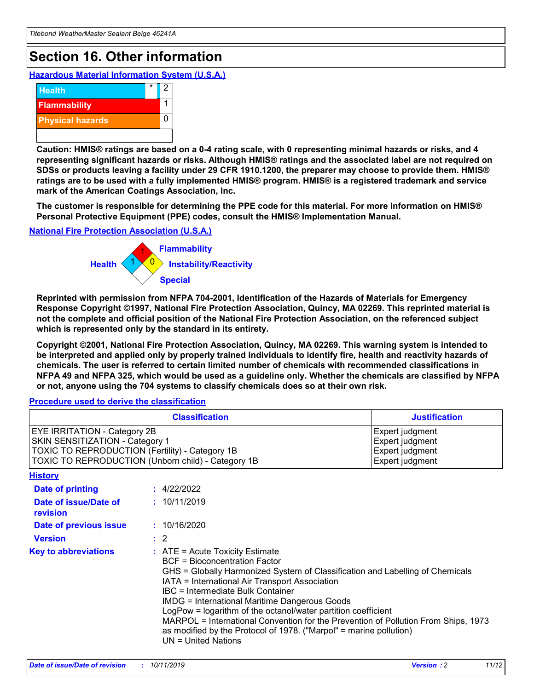## **Section 16. Other information**

**Hazardous Material Information System (U.S.A.)**



**Caution: HMIS® ratings are based on a 0-4 rating scale, with 0 representing minimal hazards or risks, and 4 representing significant hazards or risks. Although HMIS® ratings and the associated label are not required on SDSs or products leaving a facility under 29 CFR 1910.1200, the preparer may choose to provide them. HMIS® ratings are to be used with a fully implemented HMIS® program. HMIS® is a registered trademark and service mark of the American Coatings Association, Inc.**

**The customer is responsible for determining the PPE code for this material. For more information on HMIS® Personal Protective Equipment (PPE) codes, consult the HMIS® Implementation Manual.**

#### **National Fire Protection Association (U.S.A.)**



**Reprinted with permission from NFPA 704-2001, Identification of the Hazards of Materials for Emergency Response Copyright ©1997, National Fire Protection Association, Quincy, MA 02269. This reprinted material is not the complete and official position of the National Fire Protection Association, on the referenced subject which is represented only by the standard in its entirety.**

**Copyright ©2001, National Fire Protection Association, Quincy, MA 02269. This warning system is intended to be interpreted and applied only by properly trained individuals to identify fire, health and reactivity hazards of chemicals. The user is referred to certain limited number of chemicals with recommended classifications in NFPA 49 and NFPA 325, which would be used as a guideline only. Whether the chemicals are classified by NFPA or not, anyone using the 704 systems to classify chemicals does so at their own risk.**

**Procedure used to derive the classification**

| <b>Classification</b>                                                                                                                                                    |                                                                                                                                                  | <b>Justification</b>                                                                                                                                                                                                                                                                                                                                                                                                 |  |
|--------------------------------------------------------------------------------------------------------------------------------------------------------------------------|--------------------------------------------------------------------------------------------------------------------------------------------------|----------------------------------------------------------------------------------------------------------------------------------------------------------------------------------------------------------------------------------------------------------------------------------------------------------------------------------------------------------------------------------------------------------------------|--|
| EYE IRRITATION - Category 2B<br>SKIN SENSITIZATION - Category 1<br>TOXIC TO REPRODUCTION (Fertility) - Category 1B<br>TOXIC TO REPRODUCTION (Unborn child) - Category 1B |                                                                                                                                                  | Expert judgment<br>Expert judgment<br>Expert judgment<br>Expert judgment                                                                                                                                                                                                                                                                                                                                             |  |
| <b>History</b>                                                                                                                                                           |                                                                                                                                                  |                                                                                                                                                                                                                                                                                                                                                                                                                      |  |
| Date of printing                                                                                                                                                         | : 4/22/2022                                                                                                                                      |                                                                                                                                                                                                                                                                                                                                                                                                                      |  |
| Date of issue/Date of<br>revision                                                                                                                                        | : 10/11/2019                                                                                                                                     |                                                                                                                                                                                                                                                                                                                                                                                                                      |  |
| Date of previous issue                                                                                                                                                   | : 10/16/2020                                                                                                                                     |                                                                                                                                                                                                                                                                                                                                                                                                                      |  |
| <b>Version</b>                                                                                                                                                           | $\therefore$ 2                                                                                                                                   |                                                                                                                                                                                                                                                                                                                                                                                                                      |  |
| <b>Key to abbreviations</b>                                                                                                                                              | $\therefore$ ATE = Acute Toxicity Estimate<br><b>BCF</b> = Bioconcentration Factor<br>IBC = Intermediate Bulk Container<br>$UN = United Nations$ | GHS = Globally Harmonized System of Classification and Labelling of Chemicals<br>IATA = International Air Transport Association<br><b>IMDG = International Maritime Dangerous Goods</b><br>LogPow = logarithm of the octanol/water partition coefficient<br>MARPOL = International Convention for the Prevention of Pollution From Ships, 1973<br>as modified by the Protocol of 1978. ("Marpol" = marine pollution) |  |